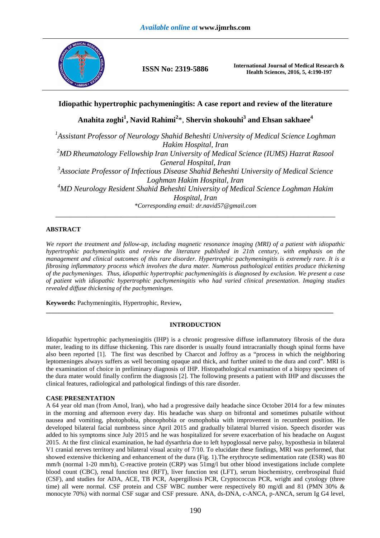

**ISSN No: 2319-5886 International Journal of Medical Research & Health Sciences, 2016, 5, 4:190-197** 

# **Idiopathic hypertrophic pachymeningitis: A case report and review of the literature**

**Anahita zoghi<sup>1</sup> , Navid Rahimi<sup>2</sup>** \*, **Shervin shokouhi<sup>3</sup> and Ehsan sakhaee<sup>4</sup>**

*1 Assistant Professor of Neurology Shahid Beheshti University of Medical Science Loghman Hakim Hospital, Iran <sup>2</sup>MD Rheumatology Fellowship Iran University of Medical Science (IUMS) Hazrat Rasool General Hospital, Iran 3 Associate Professor of Infectious Disease Shahid Beheshti University of Medical Science Loghman Hakim Hospital, Iran <sup>4</sup>MD Neurology Resident Shahid Beheshti University of Medical Science Loghman Hakim Hospital, Iran \*Corresponding email: dr.navid57@gmail.com* 

*\_\_\_\_\_\_\_\_\_\_\_\_\_\_\_\_\_\_\_\_\_\_\_\_\_\_\_\_\_\_\_\_\_\_\_\_\_\_\_\_\_\_\_\_\_\_\_\_\_\_\_\_\_\_\_\_\_\_\_\_\_\_\_\_\_\_\_\_\_\_\_\_\_* 

## **ABSTRACT**

*We report the treatment and follow-up, including magnetic resonance imaging (MRI) of a patient with idiopathic hypertrophic pachymeningitis and review the literature published in 21th century, with emphasis on the management and clinical outcomes of this rare disorder. Hypertrophic pachymeningitis is extremely rare. It is a fibrosing inflammatory process which involves the dura mater. Numerous pathological entities produce thickening of the pachymeninges. Thus, idiopathic hypertrophic pachymeningitis is diagnosed by exclusion. We present a case of patient with idiopathic hypertrophic pachymeningitis who had varied clinical presentation. Imaging studies revealed diffuse thickening of the pachymeninges.* 

**Keywords:** Pachymeningitis, Hypertrophic, Review**,** 

### **INTRODUCTION**

**\_\_\_\_\_\_\_\_\_\_\_\_\_\_\_\_\_\_\_\_\_\_\_\_\_\_\_\_\_\_\_\_\_\_\_\_\_\_\_\_\_\_\_\_\_\_\_\_\_\_\_\_\_\_\_\_\_\_\_\_\_\_\_\_\_\_\_\_\_\_\_\_\_\_\_\_\_\_\_\_\_\_\_\_\_\_\_\_\_\_** 

Idiopathic hypertrophic pachymeningitis (IHP) is a chronic progressive diffuse inflammatory fibrosis of the dura mater, leading to its diffuse thickening. This rare disorder is usually found intracranially though spinal forms have also been reported [1]. The first was described by Charcot and Joffroy as a "process in which the neighboring leptomeninges always suffers as well becoming opaque and thick, and further united to the dura and cord". MRI is the examination of choice in preliminary diagnosis of IHP. Histopathological examination of a biopsy specimen of the dura mater would finally confirm the diagnosis [2]. The following presents a patient with IHP and discusses the clinical features, radiological and pathological findings of this rare disorder.

## **CASE PRESENTATION**

A 64 year old man (from Amol, Iran), who had a progressive daily headache since October 2014 for a few minutes in the morning and afternoon every day. His headache was sharp on bifrontal and sometimes pulsatile without nausea and vomiting, photophobia, phonophobia or osmophobia with improvement in recumbent position. He developed bilateral facial numbness since April 2015 and gradually bilateral blurred vision. Speech disorder was added to his symptoms since July 2015 and he was hospitalized for severe exacerbation of his headache on August 2015. At the first clinical examination, he had dysarthria due to left hypoglossal nerve palsy, hyposthesia in bilateral V1 cranial nerves territory and bilateral visual acuity of 7/10. To elucidate these findings, MRI was performed, that showed extensive thickening and enhancement of the dura (Fig. 1).The erythrocyte sedimentation rate (ESR) was 80 mm/h (normal 1-20 mm/h), C-reactive protein (CRP) was 51mg/l but other blood investigations include complete blood count (CBC), renal function test (RFT), liver function test (LFT), serum biochemistry, cerebrospinal fluid (CSF), and studies for ADA, ACE, TB PCR, Aspergillosis PCR, Cryptococcus PCR, wright and cytology (three time) all were normal. CSF protein and CSF WBC number were respectively 80 mg/dl and 81 (PMN 30% & monocyte 70%) with normal CSF sugar and CSF pressure. ANA, ds-DNA, c-ANCA, p-ANCA, serum Ig G4 level,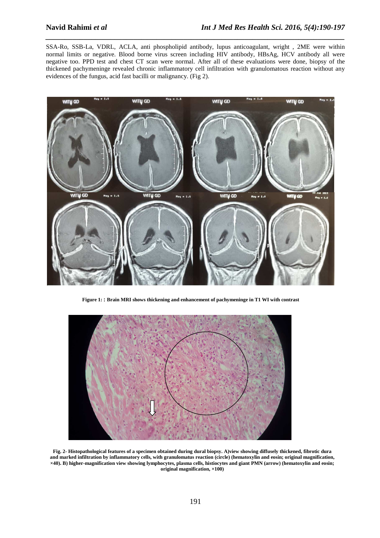SSA-Ro, SSB-La, VDRL, ACLA, anti phospholipid antibody, lupus anticoagulant, wright , 2ME were within normal limits or negative. Blood borne virus screen including HIV antibody, HBsAg, HCV antibody all were negative too. PPD test and chest CT scan were normal. After all of these evaluations were done, biopsy of the thickened pachymeninge revealed chronic inflammatory cell infiltration with granulomatous reaction without any evidences of the fungus, acid fast bacilli or malignancy. (Fig 2).

*\_\_\_\_\_\_\_\_\_\_\_\_\_\_\_\_\_\_\_\_\_\_\_\_\_\_\_\_\_\_\_\_\_\_\_\_\_\_\_\_\_\_\_\_\_\_\_\_\_\_\_\_\_\_\_\_\_\_\_\_\_\_\_\_\_\_\_\_\_\_\_\_\_\_\_\_\_\_*



**Figure 1: : Brain MRI shows thickening and enhancement of pachymeninge in T1 WI with contrast**



**Fig. 2- Histopathological features of a specimen obtained during dural biopsy. A)view showing diffusely thickened, fibrotic dura and marked infiltration by inflammatory cells, with granulomatus reaction (circle) (hematoxylin and eosin; original magnification, ×40). B) higher-magnification view showing lymphocytes, plasma cells, histiocytes and giant PMN (arrow) (hematoxylin and eosin; original magnification, ×100)**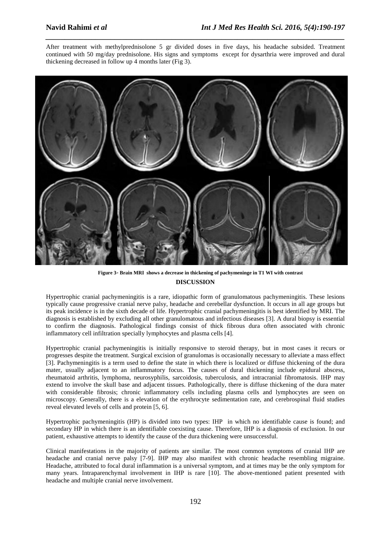After treatment with methylprednisolone 5 gr divided doses in five days, his headache subsided. Treatment continued with 50 mg/day prednisolone. His signs and symptoms except for dysarthria were improved and dural thickening decreased in follow up 4 months later (Fig 3).

*\_\_\_\_\_\_\_\_\_\_\_\_\_\_\_\_\_\_\_\_\_\_\_\_\_\_\_\_\_\_\_\_\_\_\_\_\_\_\_\_\_\_\_\_\_\_\_\_\_\_\_\_\_\_\_\_\_\_\_\_\_\_\_\_\_\_\_\_\_\_\_\_\_\_\_\_\_\_*



**DISCUSSION Figure 3**- **Brain MRI shows a decrease in thickening of pachymeninge in T1 WI with contrast** 

Hypertrophic cranial pachymeningitis is a rare, idiopathic form of granulomatous pachymeningitis. These lesions typically cause progressive cranial nerve palsy, headache and cerebellar dysfunction. It occurs in all age groups but its peak incidence is in the sixth decade of life. Hypertrophic cranial pachymeningitis is best identified by MRI. The diagnosis is established by excluding all other granulomatous and infectious diseases [3]. A dural biopsy is essential to confirm the diagnosis. Pathological findings consist of thick fibrous dura often associated with chronic inflammatory cell infiltration specially lymphocytes and plasma cells [4].

Hypertrophic cranial pachymeningitis is initially responsive to steroid therapy, but in most cases it recurs or progresses despite the treatment. Surgical excision of granulomas is occasionally necessary to alleviate a mass effect [3]. Pachymeningitis is a term used to define the state in which there is localized or diffuse thickening of the dura mater, usually adjacent to an inflammatory focus. The causes of dural thickening include epidural abscess, rheumatoid arthritis, lymphoma, neurosyphilis, sarcoidosis, tuberculosis, and intracranial fibromatosis. IHP may extend to involve the skull base and adjacent tissues. Pathologically, there is diffuse thickening of the dura mater with considerable fibrosis; chronic inflammatory cells including plasma cells and lymphocytes are seen on microscopy. Generally, there is a elevation of the erythrocyte sedimentation rate, and cerebrospinal fluid studies reveal elevated levels of cells and protein [5, 6].

Hypertrophic pachymeningitis (HP) is divided into two types: IHP in which no identifiable cause is found; and secondary HP in which there is an identifiable coexisting cause. Therefore, IHP is a diagnosis of exclusion. In our patient, exhaustive attempts to identify the cause of the dura thickening were unsuccessful.

Clinical manifestations in the majority of patients are similar. The most common symptoms of cranial IHP are headache and cranial nerve palsy [7-9]. IHP may also manifest with chronic headache resembling migraine. Headache, attributed to focal dural inflammation is a universal symptom, and at times may be the only symptom for many years. Intraparenchymal involvement in IHP is rare [10]. The above-mentioned patient presented with headache and multiple cranial nerve involvement.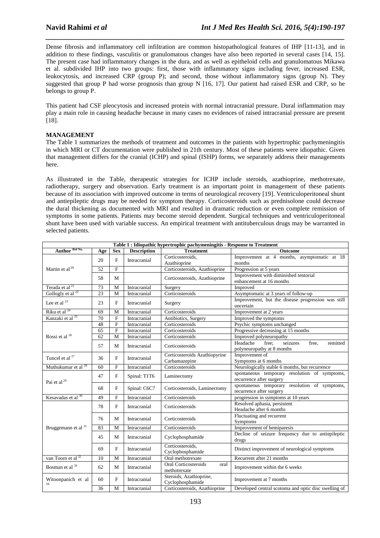Dense fibrosis and inflammatory cell infiltration are common histopathological features of IHP [11-13], and in addition to these findings, vasculitis or granulomatous changes have also been reported in several cases [14, 15]. The present case had inflammatory changes in the dura, and as well as epitheloid cells and granulomatous Mikawa et al. subdivided IHP into two groups: first, those with inflammatory signs including fever, increased ESR, leukocytosis, and increased CRP (group P); and second, those without inflammatory signs (group N). They suggested that group P had worse prognosis than group N [16, 17]. Our patient had raised ESR and CRP, so he belongs to group P.

*\_\_\_\_\_\_\_\_\_\_\_\_\_\_\_\_\_\_\_\_\_\_\_\_\_\_\_\_\_\_\_\_\_\_\_\_\_\_\_\_\_\_\_\_\_\_\_\_\_\_\_\_\_\_\_\_\_\_\_\_\_\_\_\_\_\_\_\_\_\_\_\_\_\_\_\_\_\_*

This patient had CSF pleocytosis and increased protein with normal intracranial pressure. Dural inflammation may play a main role in causing headache because in many cases no evidences of raised intracranial pressure are present [18].

### **MANAGEMENT**

The Table 1 summarizes the methods of treatment and outcomes in the patients with hypertrophic pachymeningitis in which MRI or CT documentation were published in 21th century. Most of these patients were idiopathic. Given that management differs for the cranial (ICHP) and spinal (ISHP) forms, we separately address their managements here.

As illustrated in the Table, therapeutic strategies for ICHP include steroids, azathioprine, methotrexate, radiotherapy, surgery and observation. Early treatment is an important point in management of these patients because of its association with improved outcome in terms of neurological recovery [19]. Ventriculoperitoneal shunt and antiepileptic drugs may be needed for symptom therapy. Corticosteroids such as prednisolone could decrease the dural thickening as documented with MRI and resulted in dramatic reduction or even complete remission of symptoms in some patients. Patients may become steroid dependent. Surgical techniques and ventriculoperitoneal shunt have been used with variable success. An empirical treatment with antituberculous drugs may be warranted in selected patients.

| Table 1: Idiopathic hypertrophic pachymeningitis - Response to Treatment |                 |                         |                    |                                                |                                                                                  |  |  |  |  |
|--------------------------------------------------------------------------|-----------------|-------------------------|--------------------|------------------------------------------------|----------------------------------------------------------------------------------|--|--|--|--|
| Author Ref No.                                                           | Age             | <b>Sex</b>              | <b>Description</b> | <b>Treatment</b>                               | Outcome                                                                          |  |  |  |  |
|                                                                          | 20              | F                       | Intracranial       | Corticosteroids.                               | Improvement at 4 months, asymptomatic at 18                                      |  |  |  |  |
|                                                                          |                 |                         |                    | Azathioprine                                   | months                                                                           |  |  |  |  |
| Martin et al <sup>20</sup>                                               | 52              | $\overline{F}$          |                    | Corticosteroids, Azathioprine                  | Progression at 5 years                                                           |  |  |  |  |
|                                                                          | 58              | M                       |                    | Corticosteroids, Azathioprine                  | Improvement with diminished tentorial<br>enhancement at 16 months                |  |  |  |  |
| Terada et al <sup>21</sup>                                               | 73              | $\mathbf M$             | Intracranial       | Surgery                                        | Improved                                                                         |  |  |  |  |
| Gollogly et al $^{22}$                                                   | 23              | M                       | Intracranial       | Corticosteroids                                | Asymptomatic at 3 years of follow-up                                             |  |  |  |  |
| Lee et al $^{23}$                                                        | 23              | F                       | Intracranial       | Surgery                                        | Improvement, but the disease progression was still<br>uncertain                  |  |  |  |  |
| Riku et al <sup>24</sup>                                                 | 69              | M                       | Intracranial       | Corticosteroids                                | Improvement at 2 years                                                           |  |  |  |  |
| Kanzaki et al <sup>25</sup>                                              | $\overline{70}$ | $\overline{F}$          | Intracranial       | Antibiotics, Surgery                           | Improved the symptoms                                                            |  |  |  |  |
|                                                                          | 48              | $\overline{\mathrm{F}}$ | Intracranial       | Corticosteroids                                | Psychic symptoms unchanged                                                       |  |  |  |  |
|                                                                          | 65              | $\overline{F}$          | Intracranial       | Corticosteroids                                | Progressive decreasing at 15 months                                              |  |  |  |  |
| Rossi et al <sup>26</sup>                                                | 62              | M                       | Intracranial       | Corticosteroids                                | Improved polyneuropathy                                                          |  |  |  |  |
|                                                                          | 57              | M                       | Intracranial       | Corticosteroids                                | Headache<br>seizures<br>free:<br>free.<br>remitted<br>polyneuropathy at 8 months |  |  |  |  |
| Tuncel et al <sup>27</sup>                                               | 36              | $\mathbf{F}$            | Intracranial       | Corticosteroids Azathiopyrine<br>Carbamazepine | Improvement of<br>Symptoms at 6 months                                           |  |  |  |  |
| Muthukumar et al <sup>28</sup>                                           | 60              | $\mathbf{F}$            | Intracranial       | Corticosteroids                                | Neurologically stable 6 months, but recurrence                                   |  |  |  |  |
| Pai et al $^{29}$                                                        | 47              | $\mathbf{F}$            | Spinal: T1T6       | Laminectomy                                    | spontaneous temporary resolution of symptoms,<br>recurrence after surgery        |  |  |  |  |
|                                                                          | 68              | $\mathbf{F}$            | Spinal: C6C7       | Corticosteroids, Laminectomy                   | spontaneous temporary resolution of symptoms,<br>recurrence after surgery        |  |  |  |  |
| Kesavadas et al 30                                                       | 49              | $\overline{F}$          | Intracranial       | Corticosteroids                                | progression in symptoms at 10 years                                              |  |  |  |  |
| Bruggemann et al 31                                                      | 78              | $\mathbf{F}$            | Intracranial       | Corticosteroids                                | Resolved aphasia, persistent<br>Headache after 6 months                          |  |  |  |  |
|                                                                          | 76              | M                       | Intracranial       | Corticosteroids                                | Fluctuating and recurrent<br>Symptoms                                            |  |  |  |  |
|                                                                          | 83              | M                       | Intracranial       | Corticosteroids                                | Improvement of hemiparesis                                                       |  |  |  |  |
|                                                                          | 45              | М                       | Intracranial       | Cyclophosphamide                               | Decline of seizure frequency due to antiepileptic<br>drugs                       |  |  |  |  |
|                                                                          | 69              | F                       | Intracranial       | Corticosteroids,<br>Cyclophosphamide           | Distinct improvement of neurological symptoms                                    |  |  |  |  |
| van Toorn et al <sup>32</sup>                                            | 10              | M                       | Intracranial       | Oral methotrexate                              | Recurrent after 21 months                                                        |  |  |  |  |
| Bosman et al <sup>33</sup>                                               | 62              | M                       | Intracranial       | Oral Corticosteroids<br>oral<br>methotrexate   | Improvement within the 6 weeks                                                   |  |  |  |  |
| Witoonpanich et al                                                       | 60              | $\mathbf{F}$            | Intracranial       | Steroids, Azathioprine,<br>Cyclophosphamide    | Improvement at 7 months                                                          |  |  |  |  |
|                                                                          | 36              | M                       | Intracranial       | Corticosteroids, Azathioprine                  | Developed central scotoma and optic disc swelling of                             |  |  |  |  |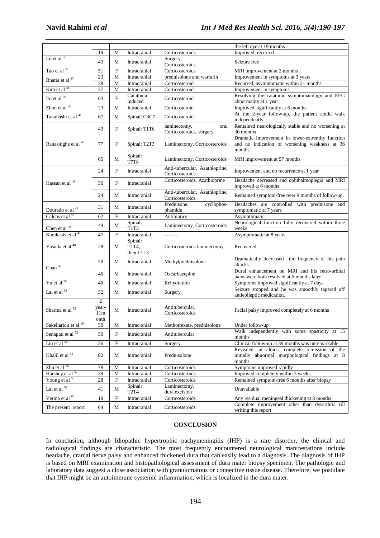|                                 |                                        |                           |                                          |                                                   | the left eye at 19 months                                                                                   |
|---------------------------------|----------------------------------------|---------------------------|------------------------------------------|---------------------------------------------------|-------------------------------------------------------------------------------------------------------------|
|                                 | 19                                     | M                         | Intracranial                             | Corticosteroids                                   | Improved, recurred                                                                                          |
| Lu et al $35$                   | 43                                     | M                         | Intracranial                             | Surgery,<br>Corticosteroids                       | Seizure free                                                                                                |
| Tao et al <sup>36</sup>         | 51                                     | ${\rm F}$                 | Intracranial                             | Corticosteroids                                   | MRI improvement at 2 months                                                                                 |
| Bhatia et al 37                 | 23                                     | $\mathbf M$               | Intracranial                             | prednisolone and warfarin                         | Improvement in symptoms at 3 years                                                                          |
|                                 | 38                                     | M                         | Intracranial                             | Corticosteroid                                    | Recurred, asymptomatic within 21 months                                                                     |
| Kim et al <sup>38</sup>         | 37                                     | $\mathbf M$               | Intracranial                             | Corticosteroid                                    | Improvement in symptoms                                                                                     |
| Ito et al 39                    | 63                                     | $\mathbf F$               | Catatonia<br>induced                     | Corticosteroid                                    | Resolving the catatonic symptomatology and EEG<br>abnormality at 1 year                                     |
| Zhou et al 40                   | 23                                     | M                         | Intracranial                             | Corticosteroid                                    | Improved significantly at 6 months                                                                          |
| Takahashi et al <sup>41</sup>   | 67                                     | M                         | Spinal: C3C7                             | Corticosteroid                                    | At the 2-year follow-up, the patient could walk<br>independently                                            |
|                                 | 43                                     | ${\rm F}$                 | Spinal: T1T6                             | laminectomy,<br>oral<br>Corticosteroids, surgery  | Remained neurologically stable and no worsening at<br>30 months                                             |
| Ranasinghe et al <sup>42</sup>  | 77                                     | F                         | Spinal: T2T3                             | Laminectomy, Corticosteroids                      | Dramatic improvement in lower-extremity function<br>and no indication of worsening weakness at 36<br>months |
|                                 | 65                                     | M                         | Spinal:<br>T7T8                          | Laminectomy, Corticosteroids                      | MRI improvement at 57 months                                                                                |
|                                 | 24                                     | F                         | Intracranial                             | Anti-tubercular, Azathioprine,<br>Corticosteroids | Improvement and no recurrence at 1 year                                                                     |
| Hassan et al <sup>43</sup>      | 56                                     | $\mathbf F$               | Intracranial                             | Corticosteroids, Azathioprine                     | Headache decreased and ophthalmoplegia and MRI<br>improved at 6 months                                      |
|                                 | 24                                     | M                         | Intracranial                             | Anti-tubercular, Azathioprine,<br>Corticosteroids | Remained symptom-free over 9 months of follow-up.                                                           |
| Dourado et al <sup>44</sup>     | 31                                     | M                         | Intracranial                             | cyclophos-<br>Prednisone,<br>phamide              | Headaches are controlled with prednisone and<br>symptomatic at 7 years                                      |
| Caldas et al <sup>45</sup>      | 62                                     | $\mathbf F$               | Intracranial                             | Antibiotics                                       | Asymptomatic                                                                                                |
| Chen et al <sup>46</sup>        | 49                                     | M                         | Spinal:<br>T1T3                          | Laminectomy, Corticosteroids                      | Neurological function fully recovered within three<br>weeks                                                 |
| Karakasis et al <sup>47</sup>   | 47                                     | ${\bf F}$                 | Intracranial                             | --------                                          | Asymptomatic at 8 years                                                                                     |
| Yasuda et al <sup>48</sup>      | 28                                     | M                         | Spinal:<br>T1T4,<br>then L1L3            | Corticosteroids laminectomy                       | Recovered                                                                                                   |
| Chan $^{49}$                    | 50                                     | M                         | Intracranial                             | Methylprednisolone                                | Dramatically decreased the frequency of his pain<br>attacks                                                 |
|                                 | 46                                     | М                         | Intracranial                             | Oxcarbazepine                                     | Dural enhancement on MRI and his retro-orbital<br>pains were both resolved at 6 months later                |
| Yu et al <sup>50</sup>          | 40                                     | M                         | Intracranial                             | Rehydration                                       | Symptoms improved significantly at 7 days                                                                   |
| Lai et al <sup>51</sup>         | 52                                     | М                         | Intracranial                             | Surgery                                           | Seizure stopped and he was smoothly tapered off                                                             |
|                                 |                                        |                           |                                          |                                                   | antiepileptic medication.                                                                                   |
| Sharma et al <sup>52</sup>      | $\overline{c}$<br>year-<br>11m<br>onth | М                         | Intracranial                             | Antitubercular,<br>Corticosteroids                | Facial palsy improved completely at 6 months                                                                |
| Sakellariou et al <sup>19</sup> | 50                                     | $\mathbf M$               | Intracranial                             | Methotrexate, prednisolone                        | Under follow-up                                                                                             |
| Senapati et al <sup>53</sup>    | 50                                     | $\boldsymbol{\mathrm{F}}$ | Intracranial                             | Antitubercular                                    | Walk independently with some spasticity at 15<br>months                                                     |
| Liu et al <sup>54</sup>         | 36                                     | ${\bf F}$                 | Intracranial                             | Surgery                                           | Clinical follow-up at 39 months was unremarkable                                                            |
| Khalil et al <sup>55</sup>      | 82                                     | М                         | Intracranial                             | Prednisolone                                      | Revealed an almost complete remission of the<br>initially abnormal morphological findings at 8<br>months    |
| Zhu et al <sup>56</sup>         | $78\,$                                 | M                         | Intracranial                             | Corticosteroids                                   | Symptoms improved rapidly                                                                                   |
| Harshey et al <sup>57</sup>     | 39                                     | $\mathbf M$               | Intracranial                             | Corticosteroids                                   | Improved completely within 3 weeks                                                                          |
| Young et al <sup>58</sup>       | 28                                     | F                         | Intracranial                             | Corticosteroids                                   | Remained symptom-free 6 months after biopsy                                                                 |
| Lai et al $^{59}$               | 41                                     | $\mathbf M$               | Spinal:<br>T <sub>2</sub> T <sub>4</sub> | Laminectomy,<br>dura excision                     | Unavailable                                                                                                 |
| Verma et al 60                  | 18                                     | ${\bf F}$                 | Intracranial                             | Corticosteroids                                   | Any residual meningeal thickening at 8 months                                                               |
| The present report              | 64                                     | $\mathbf M$               | Intracranial                             | Corticosteroids                                   | Complete improvement other than dysarthria till<br>writing this report                                      |

*\_\_\_\_\_\_\_\_\_\_\_\_\_\_\_\_\_\_\_\_\_\_\_\_\_\_\_\_\_\_\_\_\_\_\_\_\_\_\_\_\_\_\_\_\_\_\_\_\_\_\_\_\_\_\_\_\_\_\_\_\_\_\_\_\_\_\_\_\_\_\_\_\_\_\_\_\_\_*

## **CONCLUSION**

In conclusion, although Idiopathic hypertrophic pachymeningitis (IHP) is a rare disorder, the clinical and radiological findings are characteristic. The most frequently encountered neurological manifestations include headache, cranial nerve palsy and enhanced thickened dura that can easily lead to a diagnosis. The diagnosis of IHP is based on MRI examination and histopathological assessment of dura mater biopsy specimen. The pathologic and laboratory data suggest a close association with granulomatous or connective tissue disease. Therefore, we postulate that IHP might be an autoimmune systemic inflammation, which is localized in the dura mater.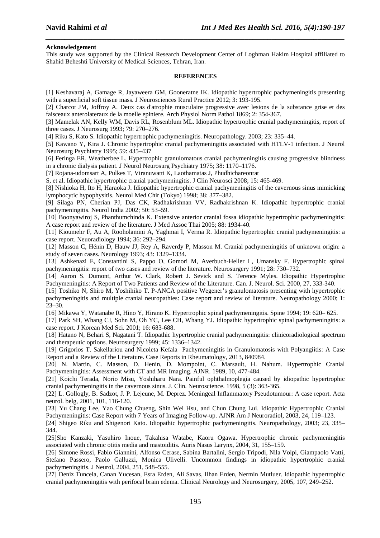### **Acknowledgement**

This study was supported by the Clinical Research Development Center of Loghman Hakim Hospital affiliated to Shahid Beheshti University of Medical Sciences, Tehran, Iran.

*\_\_\_\_\_\_\_\_\_\_\_\_\_\_\_\_\_\_\_\_\_\_\_\_\_\_\_\_\_\_\_\_\_\_\_\_\_\_\_\_\_\_\_\_\_\_\_\_\_\_\_\_\_\_\_\_\_\_\_\_\_\_\_\_\_\_\_\_\_\_\_\_\_\_\_\_\_\_*

### **REFERENCES**

[1] Keshavaraj A, Gamage R, Jayaweera GM, Gooneratne IK. Idiopathic hypertrophic pachymeningitis presenting with a superficial soft tissue mass. J Neurosciences Rural Practice 2012; 3: 193-195.

[2] Charcot JM, Joffroy A. Deux cas d'atrophie musculaire progressive avec lesions de la substance grise et des faisceaux anterolateraux de la moelle epiniere. Arch Physiol Norm Pathol 1869; 2: 354-367.

[3] Mamelak AN, Kelly WM, Davis RL, Rosenblum ML. Idiopathic hypertrophic cranial pachymeningitis, report of three cases. J Neurosurg 1993; 79: 270–276.

[4] Riku S, Kato S. Idiopathic hypertrophic pachymeningitis. Neuropathology. 2003; 23: 335–44.

[5] Kawano Y, Kira J. Chronic hypertrophic cranial pachymeningitis associated with HTLV-1 infection. J Neurol Neurosurg Psychiatry 1995; 59: 435–437

[6] Feringa ER, Weatherbee L. Hypertrophic granulomatous cranial pachymeningitis causing progressive blindness in a chronic dialysis patient. J Neurol Neurosurg Psychiatry 1975; 38: 1170–1176.

[7] Rojana-udomsart A, Pulkes T, Viranuwatti K, Laothamatas J, Phudhichareonrat

S, et al. Idiopathic hypertrophic cranial pachymeningitis. J Clin Neurosci 2008; 15: 465-469.

[8] Nishioka H, Ito H, Haraoka J. Idiopathic hypertrophic cranial pachymeningitis of the cavernous sinus mimicking lymphocytic hypophysitis. Neurol Med Chir (Tokyo) 1998; 38: 377–382.

[9] Silaga PN, Cherian PJ, Das CK, Radhakrishnan VV, Radhakrishnan K. Idiopathic hypertrophic cranial pachymeningitis. Neurol India 2002; 50: 53–59.

[10] Boonyawiroj S, Phanthumchinda K. Extensive anterior cranial fossa idiopathic hypertrophic pachymeningitis: A case report and review of the literature. J Med Assoc Thai 2005; 88: 1934-40.

[11] Kioumehr F, Au A, Rooholamini A, Yaghmai I, Verma R. Idiopathic hypertrophic cranial pachymeningitis: a case report. Neuoradiology 1994; 36: 292–294.

[12] Masson C, Hénin D, Hauw JJ, Rey A, Raverdy P, Masson M. Cranial pachymeningitis of unknown origin: a study of seven cases. Neurology 1993; 43: 1329–1334.

[13] Ashkenazi E, Constantini S, Pappo O, Gomori M, Averbuch-Heller L, Umansky F. Hypertrophic spinal pachymeningitis: report of two cases and review of the literature. Neurosurgery 1991; 28: 730–732.

[14] Aaron S. Dumont, Arthur W. Clark, Robert J. Sevick and S. Terence Myles. Idiopathic Hypertrophic Pachymeningitis: A Report of Two Patients and Review of the Literature. Can. J. Neurol. Sci. 2000, 27, 333-340.

[15] Toshiko N, Shiro M, Yoshihiko T. P-ANCA positive Wegener's granulomatosis presenting with hypertrophic pachymeningitis and multiple cranial neuropathies: Case report and review of literature. Neuropathology 2000; 1: 23–30.

[16] Mikawa Y, Watanabe R, Hino Y, Hirano K. Hypertrophic spinal pachymeningitis. Spine 1994; 19: 620– 625.

[17] Park SH, Whang CJ, Sohn M, Oh YC, Lee CH, Whang YJ. Idiopathic hypertrophic spinal pachymeningitis: a case report. J Korean Med Sci. 2001; 16: 683-688.

[18] Hatano N, Behari S, Nagatani T. Idiopathic hypertrophic cranial pachymeningitis: clinicoradiological spectrum and therapeutic options. Neurosurgery 1999; 45: 1336–1342.

[19] Grigorios T. Sakellariou and Nicoleta Kefala Pachymeningitis in Granulomatosis with Polyangiitis: A Case Report and a Review of the Literature. Case Reports in Rheumatology, 2013, 840984.

[20] N. Martin, C. Masson, D. Henin, D. Mompoint, C. Marsault, H. Nahum. Hypertrophic Cranial Pachymeningitis: Assessment with CT and MR Imaging. AJNR. 1989, 10, 477-484.

[21] Koichi Terada, Norio Misu, Yoshiharu Nara. Painful ophthalmoplegia caused by idiopathic hypertrophic cranial pachymeningitis in the cavernous sinus. J. Clin. Neuroscience. 1998, 5 (3): 363-365.

[22] L. Gollogly, B. Sadzot, J. P. Lejeune, M. Deprez. Meningeal Inflammatory Pseudotumour: A case report. Acta neurol. belg, 2001, 101, 116-120.

[23] Yu Chang Lee, Yao Chung Chueng, Shin Wei Hsu, and Chun Chung Lui. Idiopathic Hypertrophic Cranial Pachymeningitis: Case Report with 7 Years of Imaging Follow-up. AJNR Am J Neuroradiol, 2003, 24, 119–123.

[24] Shigeo Riku and Shigenori Kato. Idiopathic hypertrophic pachymeningitis. Neuropathology, 2003; 23, 335– 344.

[25]Sho Kanzaki, Yasuhiro Inoue, Takahisa Watabe, Kaoru Ogawa. Hypertrophic chronic pachymeningitis associated with chronic otitis media and mastoiditis. Auris Nasus Larynx, 2004, 31, 155–159.

[26] Simone Rossi, Fabio Giannini, Alfonso Cerase, Sabina Bartalini, Sergio Tripodi, Nila Volpi, Giampaolo Vatti, Stefano Passero, Paolo Galluzzi, Monica Ulivelli. Uncommon findings in idiopathic hypertrophic cranial pachymeningitis. J Neurol, 2004, 251, 548–555.

[27] Deniz Tuncela, Canan Yucesan, Esra Erden, Ali Savas, Ilhan Erden, Nermin Mutluer. Idiopathic hypertrophic cranial pachymeningitis with perifocal brain edema. Clinical Neurology and Neurosurgery, 2005, 107, 249–252.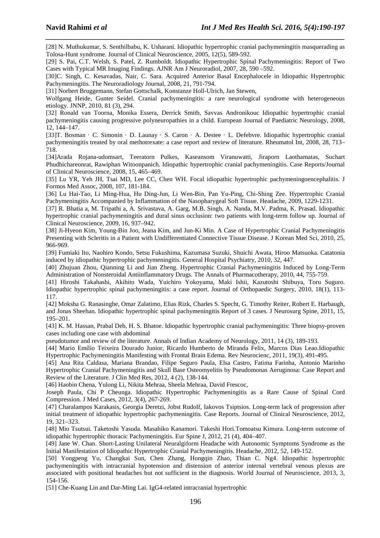[28] N. Muthukumar, S. Senthilbabu, K. Usharani. Idiopathic hypertrophic cranial pachymeningitis masquerading as Tolosa-Hunt syndrome. Journal of Clinical Neuroscience, 2005, 12(5), 589-592.

*\_\_\_\_\_\_\_\_\_\_\_\_\_\_\_\_\_\_\_\_\_\_\_\_\_\_\_\_\_\_\_\_\_\_\_\_\_\_\_\_\_\_\_\_\_\_\_\_\_\_\_\_\_\_\_\_\_\_\_\_\_\_\_\_\_\_\_\_\_\_\_\_\_\_\_\_\_\_*

[29] S. Pai, C.T. Welsh, S. Patel, Z. Rumboldt. Idiopathic Hypertrophic Spinal Pachymeningitis: Report of Two Cases with Typical MR Imaging Findings. AJNR Am J Neuroradiol, 2007, 28, 590 –592.

[30]C. Singh, C. Kesavadas, Nair, C. Sara. Acquired Anterior Basal Encephalocele in Idiopathic Hypertrophic Pachymeningitis. The Neuroradiology Journal, 2008, 21, 791-794.

[31] Norbert Bruggemann, Stefan Gottschalk, Konstanze Holl-Ulrich, Jan Stewen,

Wolfgang Heide, Gunter Seidel. Cranial pachymeningitis: a rare neurological syndrome with heterogeneous etiology. JNNP, 2010, 81 (3), 294.

[32] Ronald van Toorna, Monika Essera, Derrick Smitb, Savvas Andronikouc Idiopathic hypertrophic cranial pachymeningitis causing progressive polyneuropathies in a child. European Journal of Paediatric Neurology, 2008, 12, 144–147.

[33]T. Bosman · C. Simonin · D. Launay · S. Caron · A. Destee · L. Defebvre. Idiopathic hypertrophic cranial pachymeningitis treated by oral methotrexate: a case report and review of literature. Rheumatol Int, 2008, 28, 713– 718.

[34]Arada Rojana-udomsart, Teeratorn Pulkes, Kaseansom Viranuwatti, Jiraporn Laothamatas, Suchart Phudhichareonrat, Rawiphan Witoonpanich. Idiopathic hypertrophic cranial pachymeningitis. Case Reports/Journal of Clinical Neuroscience, 2008, 15, 465–469.

[35] Lu YR, Yeh JH, Tsai MD, Lee CC, Chen WH. Focal idiopathic hypertrophic pachymeningoencephalitis. J Formos Med Assoc, 2008, 107, 181-184.

[36] Lu Hai-Tao, Li Ming-Hua, Hu Ding-Jun, Li Wen-Bin, Pan Yu-Ping, Chi-Shing Zee. Hypertrophic Cranial Pachymeningitis Accompanied by Inflammation of the Nasopharygeal Soft Tissue. Headache, 2009, 1229-1231.

[37] R. Bhatia a, M. Tripathi a, A. Srivastava, A. Garg, M.B. Singh, A. Nanda, M.V. Padma, K. Prasad. Idiopathic hypertrophic cranial pachymeningitis and dural sinus occlusion: two patients with long-term follow up. Journal of Clinical Neuroscience, 2009, 16, 937–942.

[38] Ji-Hyeon Kim, Young-Bin Joo, Jeana Kim, and Jun-Ki Min. A Case of Hypertrophic Cranial Pachymeningitis Presenting with Scleritis in a Patient with Undifferentiated Connective Tissue Disease. J Korean Med Sci, 2010, 25, 966-969.

[39] Fumiaki Ito, Naohiro Kondo, Setsu Fukushima, Kazumasa Suzuki, Shuichi Awata, Hiroo Matsuoka. Catatonia induced by idiopathic hypertrophic pachymeningitis. General Hospital Psychiatry, 2010, 32, 447.

[40] Zhujuan Zhou, Qianning Li and Jian Zheng. Hypertrophic Cranial Pachymeningitis Induced by Long-Term Administration of Nonsteroidal Antiinflammatory Drugs. The Annals of Pharmacotherapy, 2010, 44, 755-759.

[41] Hiroshi Takahashi, Akihito Wada, Yuichiro Yokoyama, Maki Ishii, Kazutoshi Shibuya, Toru Suguro. Idiopathic hypertrophic spinal pachymeningitis: a case report. Journal of Orthopaedic Surgery, 2010, 18(1), 113- 117.

[42] Moksha G. Ranasinghe, Omar Zalatimo, Elias Rizk, Charles S. Specht, G. Timothy Reiter, Robert E. Harbaugh, and Jonas Sheehan. Idiopathic hypertrophic spinal pachymeningitis Report of 3 cases. J Neurosurg Spine, 2011, 15, 195–201.

[43] K. M. Hassan, Prabal Deb, H. S. Bhatoe. Idiopathic hypertrophic cranial pachymeningitis: Three biopsy-proven cases including one case with abdominal

pseudotumor and review of the literature. Annals of Indian Academy of Neurology, 2011, 14 (3), 189-193.

[44] Mario Emílio Teixeira Dourado Junior, Ricardo Humberto de Miranda Felix, Marcos Dias Leao.Idiopathic Hypertrophic Pachymeningitis Manifesting with Frontal Brain Edema. Rev Neurocienc, 2011, 19(3), 491-495.

[45] Ana Rita Caldasa, Mariana Brandao, Filipe Seguro Paula, Elsa Castro, Fatima Farinha, Antonio Marinho Hypertrophic Cranial Pachymeningitis and Skull Base Osteomyelitis by Pseudomonas Aeruginosa: Case Report and Review of the Literature. J Clin Med Res, 2012, 4 (2), 138-144.

[46] Haobin Chena, Yulong Li, Nikita Mehraa, Sheela Mehraa, David Frescoc,

Joseph Paula, Chi P Cheunga. Idiopathic Hypertrophic Pachymeningitis as a Rare Cause of Spinal Cord Compression. J Med Cases, 2012, 3(4), 267-269.

[47] Charalampos Karakasis, Georgia Deretzi, Jobst Rudolf, Iakovos Tsiptsios. Long-term lack of progression after initial treatment of idiopathic hypertrophic pachymeningitis. Case Reports. Journal of Clinical Neuroscience, 2012, 19, 321–323.

[48] Mio Tsutsui. Taketoshi Yasuda. Masahiko Kanamori. Takeshi Hori.Tomoatsu Kimura. Long-term outcome of idiopathic hypertrophic thoracic Pachymeningitis. Eur Spine J, 2012, 21 (4), 404–407.

[49] Jane W. Chan. Short-Lasting Unilateral Neuralgiform Headache with Autonomic Symptoms Syndrome as the Initial Manifestation of Idiopathic Hypertrophic Cranial Pachymeningitis. Headache, 2012, 52, 149-152.

[50] Yongpeng Yu, Changkai Sun, Chen Zhang, Hongqin Zhao, Thian C. Ng4. Idiopathic hypertrophic pachymeningitis with intracranial hypotension and distension of anterior internal vertebral venous plexus are associated with positional headaches but not sufficient in the diagnosis. World Journal of Neuroscience, 2013, 3, 154-156.

[51] Che-Kuang Lin and Dar-Ming Lai. IgG4-related intracranial hypertrophic